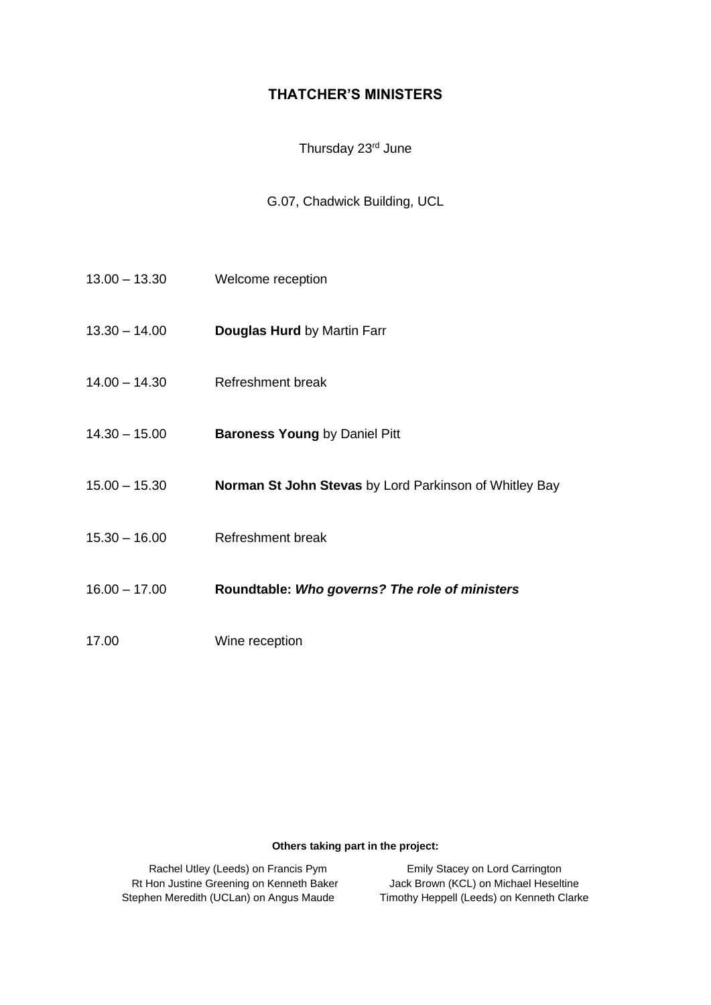## **THATCHER'S MINISTERS**

### Thursday 23<sup>rd</sup> June

### G.07, Chadwick Building, UCL

- 13.00 13.30 Welcome reception
- 13.30 14.00 **Douglas Hurd** by Martin Farr
- 14.00 14.30 Refreshment break
- 14.30 15.00 **Baroness Young** by Daniel Pitt
- 15.00 15.30 **Norman St John Stevas** by Lord Parkinson of Whitley Bay
- 15.30 16.00 Refreshment break
- 16.00 17.00 **Roundtable:** *Who governs? The role of ministers*
- 17.00 Wine reception

#### **Others taking part in the project:**

Rt Hon Justine Greening on Kenneth Baker Jack Brown (KCL) on Michael Heseltine Stephen Meredith (UCLan) on Angus Maude Timothy Heppell (Leeds) on Kenneth Clarke

Rachel Utley (Leeds) on Francis Pym Emily Stacey on Lord Carrington